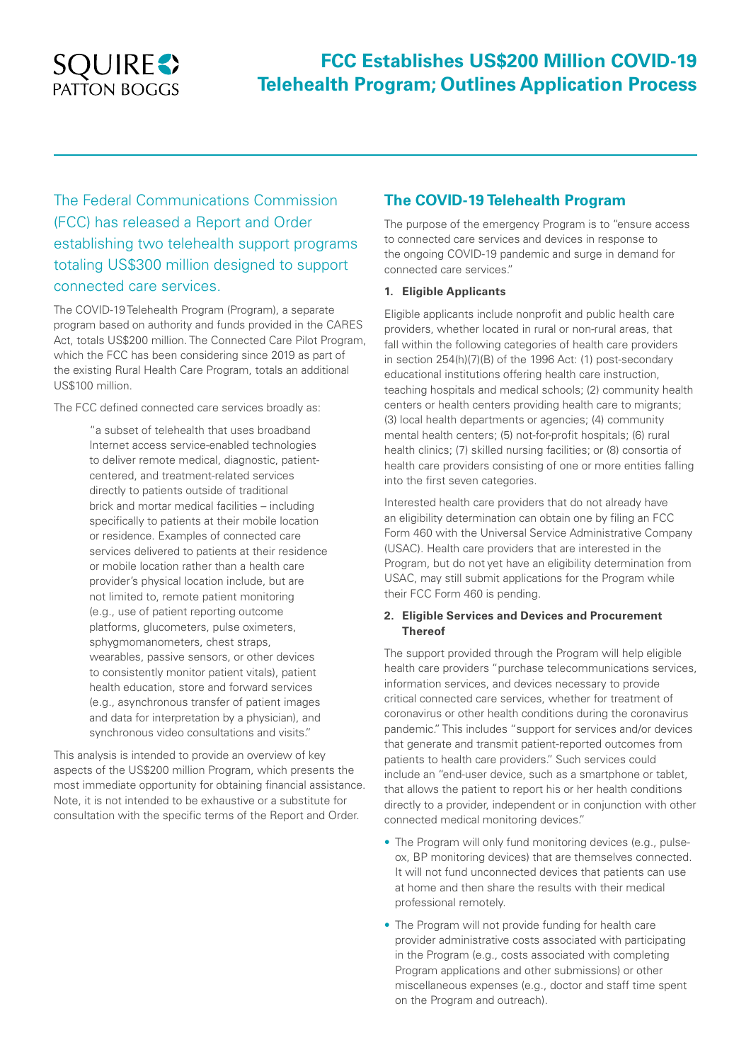# **SQUIRES** PATTON BOGGS

## **FCC Establishes US\$200 Million COVID-19 Telehealth Program; Outlines Application Process**

The Federal Communications Commission (FCC) has released a Report and Order establishing two telehealth support programs totaling US\$300 million designed to support connected care services.

The COVID-19 Telehealth Program (Program), a separate program based on authority and funds provided in the CARES Act, totals US\$200 million. The Connected Care Pilot Program, which the FCC has been considering since 2019 as part of the existing Rural Health Care Program, totals an additional US\$100 million.

The FCC defined connected care services broadly as:

"a subset of telehealth that uses broadband Internet access service-enabled technologies to deliver remote medical, diagnostic, patientcentered, and treatment-related services directly to patients outside of traditional brick and mortar medical facilities – including specifically to patients at their mobile location or residence. Examples of connected care services delivered to patients at their residence or mobile location rather than a health care provider's physical location include, but are not limited to, remote patient monitoring (e.g., use of patient reporting outcome platforms, glucometers, pulse oximeters, sphygmomanometers, chest straps, wearables, passive sensors, or other devices to consistently monitor patient vitals), patient health education, store and forward services (e.g., asynchronous transfer of patient images and data for interpretation by a physician), and synchronous video consultations and visits."

This analysis is intended to provide an overview of key aspects of the US\$200 million Program, which presents the most immediate opportunity for obtaining financial assistance. Note, it is not intended to be exhaustive or a substitute for consultation with the specific terms of the Report and Order.

## **The COVID-19 Telehealth Program**

The purpose of the emergency Program is to "ensure access to connected care services and devices in response to the ongoing COVID-19 pandemic and surge in demand for connected care services."

## **1. Eligible Applicants**

Eligible applicants include nonprofit and public health care providers, whether located in rural or non-rural areas, that fall within the following categories of health care providers in section 254(h)(7)(B) of the 1996 Act: (1) post-secondary educational institutions offering health care instruction, teaching hospitals and medical schools; (2) community health centers or health centers providing health care to migrants; (3) local health departments or agencies; (4) community mental health centers; (5) not-for-profit hospitals; (6) rural health clinics; (7) skilled nursing facilities; or (8) consortia of health care providers consisting of one or more entities falling into the first seven categories.

Interested health care providers that do not already have an eligibility determination can obtain one by filing an FCC Form 460 with the Universal Service Administrative Company (USAC). Health care providers that are interested in the Program, but do not yet have an eligibility determination from USAC, may still submit applications for the Program while their FCC Form 460 is pending.

## **2. Eligible Services and Devices and Procurement Thereof**

The support provided through the Program will help eligible health care providers "purchase telecommunications services, information services, and devices necessary to provide critical connected care services, whether for treatment of coronavirus or other health conditions during the coronavirus pandemic." This includes "support for services and/or devices that generate and transmit patient-reported outcomes from patients to health care providers." Such services could include an "end-user device, such as a smartphone or tablet, that allows the patient to report his or her health conditions directly to a provider, independent or in conjunction with other connected medical monitoring devices."

- The Program will only fund monitoring devices (e.g., pulseox, BP monitoring devices) that are themselves connected. It will not fund unconnected devices that patients can use at home and then share the results with their medical professional remotely.
- The Program will not provide funding for health care provider administrative costs associated with participating in the Program (e.g., costs associated with completing Program applications and other submissions) or other miscellaneous expenses (e.g., doctor and staff time spent on the Program and outreach).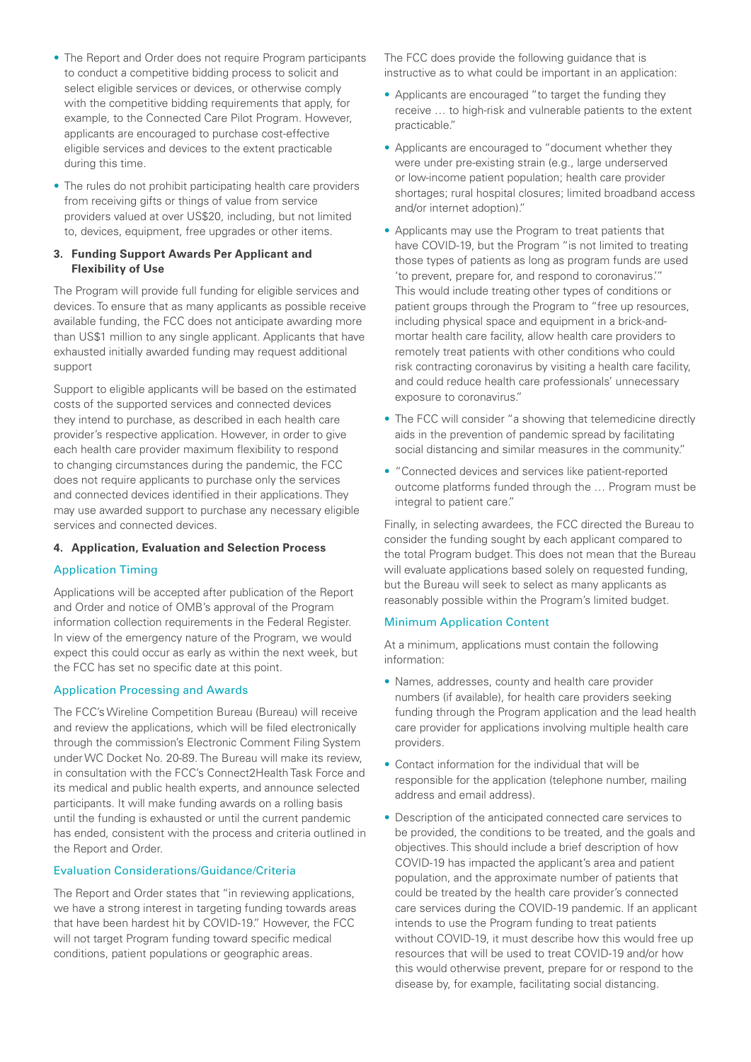- The Report and Order does not require Program participants to conduct a competitive bidding process to solicit and select eligible services or devices, or otherwise comply with the competitive bidding requirements that apply, for example, to the Connected Care Pilot Program. However, applicants are encouraged to purchase cost-effective eligible services and devices to the extent practicable during this time.
- The rules do not prohibit participating health care providers from receiving gifts or things of value from service providers valued at over US\$20, including, but not limited to, devices, equipment, free upgrades or other items.

## **3. Funding Support Awards Per Applicant and Flexibility of Use**

The Program will provide full funding for eligible services and devices. To ensure that as many applicants as possible receive available funding, the FCC does not anticipate awarding more than US\$1 million to any single applicant. Applicants that have exhausted initially awarded funding may request additional support

Support to eligible applicants will be based on the estimated costs of the supported services and connected devices they intend to purchase, as described in each health care provider's respective application. However, in order to give each health care provider maximum flexibility to respond to changing circumstances during the pandemic, the FCC does not require applicants to purchase only the services and connected devices identified in their applications. They may use awarded support to purchase any necessary eligible services and connected devices.

## **4. Application, Evaluation and Selection Process**

## Application Timing

Applications will be accepted after publication of the Report and Order and notice of OMB's approval of the Program information collection requirements in the Federal Register. In view of the emergency nature of the Program, we would expect this could occur as early as within the next week, but the FCC has set no specific date at this point.

## Application Processing and Awards

The FCC's Wireline Competition Bureau (Bureau) will receive and review the applications, which will be filed electronically through the commission's Electronic Comment Filing System under WC Docket No. 20-89. The Bureau will make its review, in consultation with the FCC's Connect2Health Task Force and its medical and public health experts, and announce selected participants. It will make funding awards on a rolling basis until the funding is exhausted or until the current pandemic has ended, consistent with the process and criteria outlined in the Report and Order.

## Evaluation Considerations/Guidance/Criteria

The Report and Order states that "in reviewing applications, we have a strong interest in targeting funding towards areas that have been hardest hit by COVID-19." However, the FCC will not target Program funding toward specific medical conditions, patient populations or geographic areas.

The FCC does provide the following guidance that is instructive as to what could be important in an application:

- Applicants are encouraged "to target the funding they receive … to high-risk and vulnerable patients to the extent practicable."
- Applicants are encouraged to "document whether they were under pre-existing strain (e.g., large underserved or low-income patient population; health care provider shortages; rural hospital closures; limited broadband access and/or internet adoption)."
- Applicants may use the Program to treat patients that have COVID-19, but the Program "is not limited to treating those types of patients as long as program funds are used 'to prevent, prepare for, and respond to coronavirus.'" This would include treating other types of conditions or patient groups through the Program to "free up resources, including physical space and equipment in a brick-andmortar health care facility, allow health care providers to remotely treat patients with other conditions who could risk contracting coronavirus by visiting a health care facility, and could reduce health care professionals' unnecessary exposure to coronavirus."
- The FCC will consider "a showing that telemedicine directly aids in the prevention of pandemic spread by facilitating social distancing and similar measures in the community."
- "Connected devices and services like patient-reported outcome platforms funded through the … Program must be integral to patient care."

Finally, in selecting awardees, the FCC directed the Bureau to consider the funding sought by each applicant compared to the total Program budget. This does not mean that the Bureau will evaluate applications based solely on requested funding, but the Bureau will seek to select as many applicants as reasonably possible within the Program's limited budget.

## Minimum Application Content

At a minimum, applications must contain the following information:

- Names, addresses, county and health care provider numbers (if available), for health care providers seeking funding through the Program application and the lead health care provider for applications involving multiple health care providers.
- Contact information for the individual that will be responsible for the application (telephone number, mailing address and email address).
- Description of the anticipated connected care services to be provided, the conditions to be treated, and the goals and objectives. This should include a brief description of how COVID-19 has impacted the applicant's area and patient population, and the approximate number of patients that could be treated by the health care provider's connected care services during the COVID-19 pandemic. If an applicant intends to use the Program funding to treat patients without COVID-19, it must describe how this would free up resources that will be used to treat COVID-19 and/or how this would otherwise prevent, prepare for or respond to the disease by, for example, facilitating social distancing.